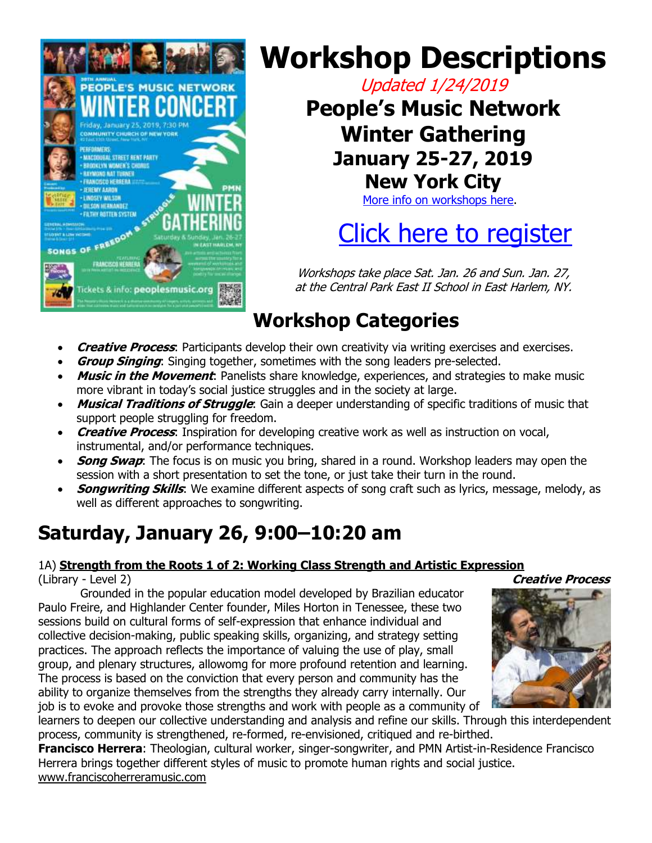

# **Workshop Descriptions**

Updated 1/24/2019

**People's Music Network Winter Gathering January 25-27, 2019 New York City**

[More info on workshops here.](https://peoplesmusic.org/Winter-Gathering-Workshops)

# [Click here to register](https://peoplesmusic.org/Winter-Gathering-Registration-Policies)

Workshops take place Sat. Jan. 26 and Sun. Jan. 27, at the Central Park East II School in East Harlem, NY.

## **Workshop Categories**

- **Creative Process**: Participants develop their own creativity via writing exercises and exercises.
- **Group Singing**: Singing together, sometimes with the song leaders pre-selected.
- **Music in the Movement**: Panelists share knowledge, experiences, and strategies to make music more vibrant in today's social justice struggles and in the society at large.
- **Musical Traditions of Struggle**: Gain a deeper understanding of specific traditions of music that support people struggling for freedom.
- **Creative Process**: Inspiration for developing creative work as well as instruction on vocal, instrumental, and/or performance techniques.
- **Song Swap**: The focus is on music you bring, shared in a round. Workshop leaders may open the session with a short presentation to set the tone, or just take their turn in the round.
- **Songwriting Skills**: We examine different aspects of song craft such as lyrics, message, melody, as well as different approaches to songwriting.

## **Saturday, January 26, 9:00–10:20 am**

#### 1A) **Strength from the Roots 1 of 2: Working Class Strength and Artistic Expression** (Library - Level 2) **Creative Process**

Grounded in the popular education model developed by Brazilian educator Paulo Freire, and Highlander Center founder, Miles Horton in Tenessee, these two sessions build on cultural forms of self-expression that enhance individual and collective decision-making, public speaking skills, organizing, and strategy setting practices. The approach reflects the importance of valuing the use of play, small group, and plenary structures, allowomg for more profound retention and learning. The process is based on the conviction that every person and community has the ability to organize themselves from the strengths they already carry internally. Our job is to evoke and provoke those strengths and work with people as a community of



learners to deepen our collective understanding and analysis and refine our skills. Through this interdependent process, community is strengthened, re-formed, re-envisioned, critiqued and re-birthed.

**Francisco Herrera**: Theologian, cultural worker, singer-songwriter, and PMN Artist-in-Residence Francisco Herrera brings together different styles of music to promote human rights and social justice. www.franciscoherreramusic.com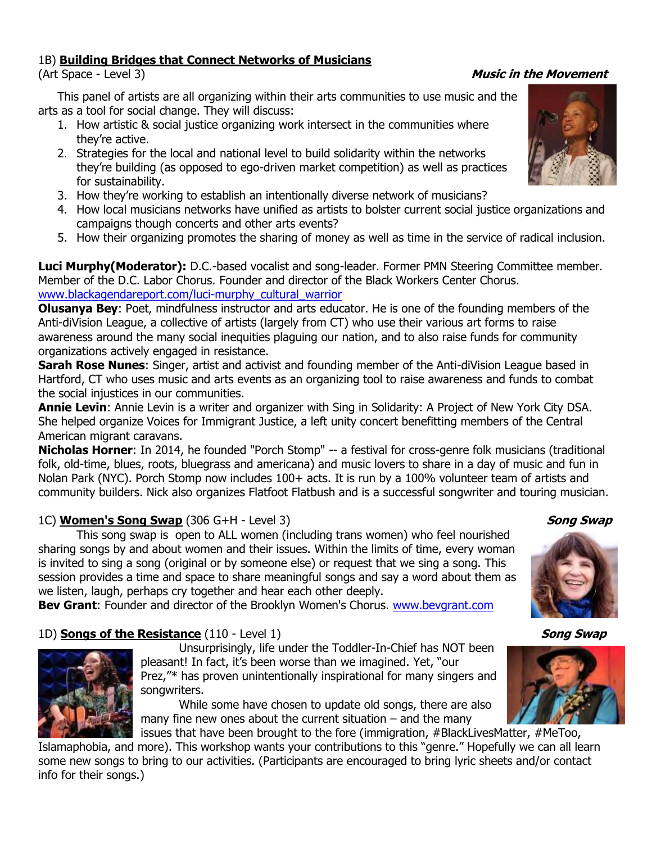#### 1B) **Building Bridges that Connect Networks of Musicians**

(Art Space - Level 3) **Music in the Movement**

This panel of artists are all organizing within their arts communities to use music and the arts as a tool for social change. They will discuss:

- 1. How artistic & social justice organizing work intersect in the communities where they're active.
- 2. Strategies for the local and national level to build solidarity within the networks they're building (as opposed to ego-driven market competition) as well as practices for sustainability.
- 3. How they're working to establish an intentionally diverse network of musicians?
- 4. How local musicians networks have unified as artists to bolster current social justice organizations and campaigns though concerts and other arts events?
- 5. How their organizing promotes the sharing of money as well as time in the service of radical inclusion.

**Luci Murphy(Moderator):** D.C.-based vocalist and song-leader. Former PMN Steering Committee member. Member of the D.C. Labor Chorus. Founder and director of the Black Workers Center Chorus. [www.blackagendareport.com/luci-murphy\\_cultural\\_warrior](http://www.blackagendareport.com/luci-murphy_cultural_warrior)

**Olusanya Bey**: Poet, mindfulness instructor and arts educator. He is one of the founding members of the Anti-diVision League, a collective of artists (largely from CT) who use their various art forms to raise awareness around the many social inequities plaguing our nation, and to also raise funds for community organizations actively engaged in resistance.

**Sarah Rose Nunes**: Singer, artist and activist and founding member of the Anti-diVision League based in Hartford, CT who uses music and arts events as an organizing tool to raise awareness and funds to combat the social injustices in our communities.

**Annie Levin**: Annie Levin is a writer and organizer with Sing in Solidarity: A Project of New York City DSA. She helped organize Voices for Immigrant Justice, a left unity concert benefitting members of the Central American migrant caravans.

**Nicholas Horner**: In 2014, he founded "Porch Stomp" -- a festival for cross-genre folk musicians (traditional folk, old-time, blues, roots, bluegrass and americana) and music lovers to share in a day of music and fun in Nolan Park (NYC). Porch Stomp now includes 100+ acts. It is run by a 100% volunteer team of artists and community builders. Nick also organizes Flatfoot Flatbush and is a successful songwriter and touring musician.

### 1C) **Women's Song Swap** (306 G+H - Level 3) **Song Swap**

This song swap is open to ALL women (including trans women) who feel nourished sharing songs by and about women and their issues. Within the limits of time, every woman is invited to sing a song (original or by someone else) or request that we sing a song. This session provides a time and space to share meaningful songs and say a word about them as we listen, laugh, perhaps cry together and hear each other deeply.

**Bev Grant**: Founder and director of the Brooklyn Women's Chorus. [www.bevgrant.com](http://www.bevgrant.com/)

### 1D) **Songs of the Resistance** (110 - Level 1) **Song Swap**

Unsurprisingly, life under the Toddler-In-Chief has NOT been pleasant! In fact, it's been worse than we imagined. Yet, "our Prez,"\* has proven unintentionally inspirational for many singers and songwriters.

While some have chosen to update old songs, there are also many fine new ones about the current situation  $-$  and the many

issues that have been brought to the fore (immigration, #BlackLivesMatter, #MeToo, Islamaphobia, and more). This workshop wants your contributions to this "genre." Hopefully we can all learn some new songs to bring to our activities. (Participants are encouraged to bring lyric sheets and/or contact info for their songs.)





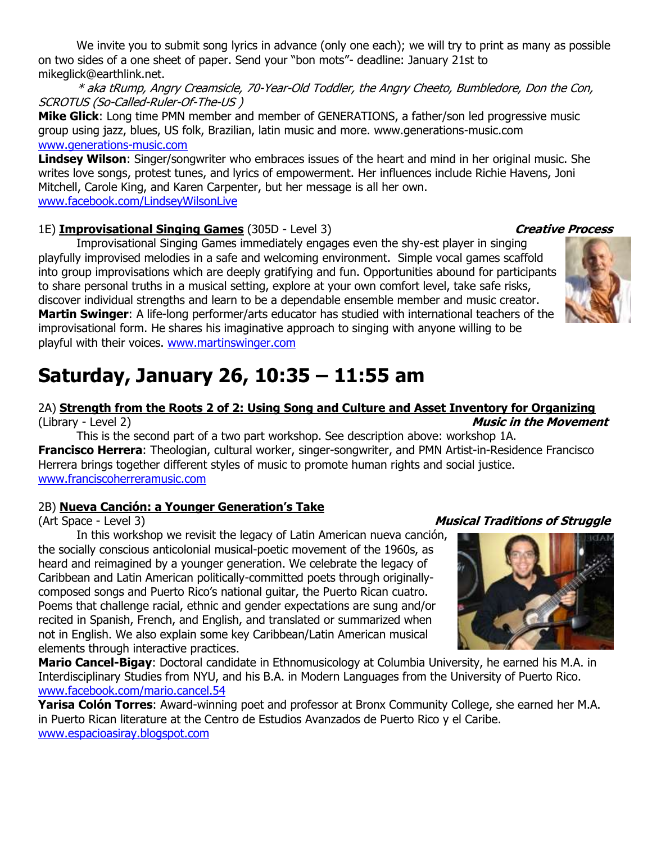We invite you to submit song lyrics in advance (only one each); we will try to print as many as possible on two sides of a one sheet of paper. Send your "bon mots"- deadline: January 21st to mikeglick@earthlink.net.

\* aka tRump, Angry Creamsicle, 70-Year-Old Toddler, the Angry Cheeto, Bumbledore, Don the Con, SCROTUS (So-Called-Ruler-Of-The-US )

**Mike Glick**: Long time PMN member and member of GENERATIONS, a father/son led progressive music group using jazz, blues, US folk, Brazilian, latin music and more. www.generations-music.com [www.generations-music.com](http://www.generations-music.com/)

**Lindsey Wilson**: Singer/songwriter who embraces issues of the heart and mind in her original music. She writes love songs, protest tunes, and lyrics of empowerment. Her influences include Richie Havens, Joni Mitchell, Carole King, and Karen Carpenter, but her message is all her own. [www.facebook.com/LindseyWilsonLive](http://www.facebook.com/LindseyWilsonLive)

#### 1E) **Improvisational Singing Games** (305D - Level 3) **Creative Process**

Improvisational Singing Games immediately engages even the shy-est player in singing playfully improvised melodies in a safe and welcoming environment. Simple vocal games scaffold into group improvisations which are deeply gratifying and fun. Opportunities abound for participants to share personal truths in a musical setting, explore at your own comfort level, take safe risks, discover individual strengths and learn to be a dependable ensemble member and music creator. **Martin Swinger**: A life-long performer/arts educator has studied with international teachers of the improvisational form. He shares his imaginative approach to singing with anyone willing to be playful with their voices. [www.martinswinger.com](http://www.martinswinger.com/)

## **Saturday, January 26, 10:35 – 11:55 am**

#### 2A) **Strength from the Roots 2 of 2: Using Song and Culture and Asset Inventory for Organizing** (Library - Level 2) **Music in the Movement**

This is the second part of a two part workshop. See description above: workshop 1A. **Francisco Herrera**: Theologian, cultural worker, singer-songwriter, and PMN Artist-in-Residence Francisco Herrera brings together different styles of music to promote human rights and social justice. [www.franciscoherreramusic.com](http://www.franciscoherreramusic.com/)

### 2B) **Nueva Canción: a Younger Generation's Take**

(Art Space - Level 3) **Musical Traditions of Struggle**

In this workshop we revisit the legacy of Latin American nueva canción, the socially conscious anticolonial musical-poetic movement of the 1960s, as heard and reimagined by a younger generation. We celebrate the legacy of Caribbean and Latin American politically-committed poets through originallycomposed songs and Puerto Rico's national guitar, the Puerto Rican cuatro. Poems that challenge racial, ethnic and gender expectations are sung and/or recited in Spanish, French, and English, and translated or summarized when not in English. We also explain some key Caribbean/Latin American musical elements through interactive practices.

**Mario Cancel-Bigay**: Doctoral candidate in Ethnomusicology at Columbia University, he earned his M.A. in Interdisciplinary Studies from NYU, and his B.A. in Modern Languages from the University of Puerto Rico. [www.facebook.com/mario.cancel.54](http://www.facebook.com/mario.cancel.54)

**Yarisa Colón Torres**: Award-winning poet and professor at Bronx Community College, she earned her M.A. in Puerto Rican literature at the Centro de Estudios Avanzados de Puerto Rico y el Caribe. [www.espacioasiray.blogspot.com](http://www.espacioasiray.blogspot.com/)



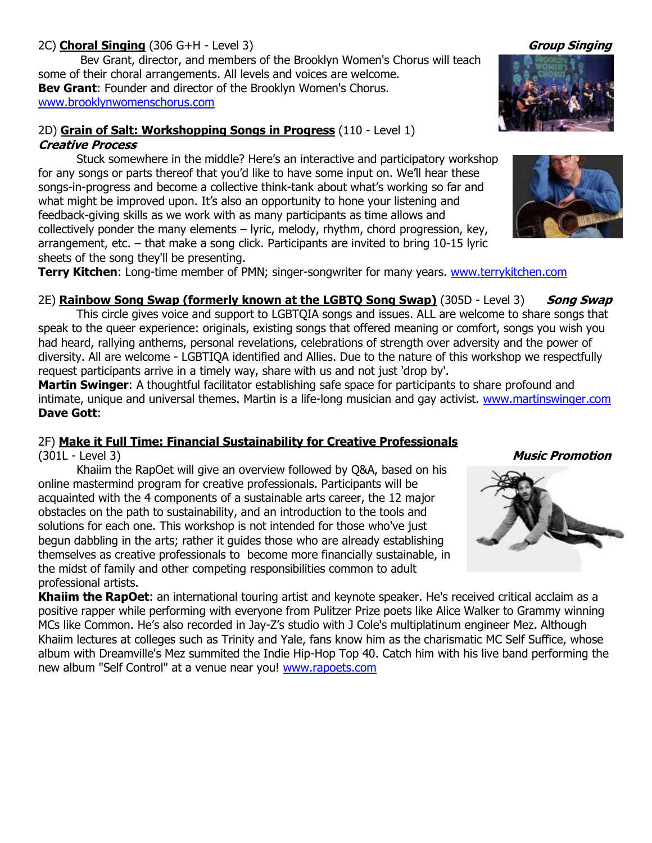#### 2C) **Choral Singing** (306 G+H - Level 3) **Group Singing**

Bev Grant, director, and members of the Brooklyn Women's Chorus will teach some of their choral arrangements. All levels and voices are welcome. **Bev Grant**: Founder and director of the Brooklyn Women's Chorus. [www.brooklynwomenschorus.com](http://www.brooklynwomenschorus.com/)

#### 2D) **Grain of Salt: Workshopping Songs in Progress** (110 - Level 1) **Creative Process**

Stuck somewhere in the middle? Here's an interactive and participatory workshop for any songs or parts thereof that you'd like to have some input on. We'll hear these songs-in-progress and become a collective think-tank about what's working so far and what might be improved upon. It's also an opportunity to hone your listening and feedback-giving skills as we work with as many participants as time allows and collectively ponder the many elements – lyric, melody, rhythm, chord progression, key, arrangement, etc. – that make a song click. Participants are invited to bring 10-15 lyric sheets of the song they'll be presenting.

**Terry Kitchen**: Long-time member of PMN; singer-songwriter for many years. [www.terrykitchen.com](http://www.terrykitchen.com/)

2E) **Rainbow Song Swap (formerly known at the LGBTO Song Swap)** (305D - Level 3) **Song Swap** This circle gives voice and support to LGBTQIA songs and issues. ALL are welcome to share songs that speak to the queer experience: originals, existing songs that offered meaning or comfort, songs you wish you had heard, rallying anthems, personal revelations, celebrations of strength over adversity and the power of diversity. All are welcome - LGBTIQA identified and Allies. Due to the nature of this workshop we respectfully request participants arrive in a timely way, share with us and not just 'drop by'.

**Martin Swinger**: A thoughtful facilitator establishing safe space for participants to share profound and intimate, unique and universal themes. Martin is a life-long musician and gay activist. [www.martinswinger.com](http://www.martinswinger.com/) **Dave Gott**:

### 2F) **Make it Full Time: Financial Sustainability for Creative Professionals**

Khaiim the RapOet will give an overview followed by Q&A, based on his online mastermind program for creative professionals. Participants will be acquainted with the 4 components of a sustainable arts career, the 12 major obstacles on the path to sustainability, and an introduction to the tools and solutions for each one. This workshop is not intended for those who've just begun dabbling in the arts; rather it guides those who are already establishing themselves as creative professionals to become more financially sustainable, in the midst of family and other competing responsibilities common to adult professional artists.

**Khaiim the RapOet**: an international touring artist and keynote speaker. He's received critical acclaim as a positive rapper while performing with everyone from Pulitzer Prize poets like Alice Walker to Grammy winning MCs like Common. He's also recorded in Jay-Z's studio with J Cole's multiplatinum engineer Mez. Although Khaiim lectures at colleges such as Trinity and Yale, fans know him as the charismatic MC Self Suffice, whose album with Dreamville's Mez summited the Indie Hip-Hop Top 40. Catch him with his live band performing the new album "Self Control" at a venue near you! [www.rapoets.com](http://www.rapoets.com/)







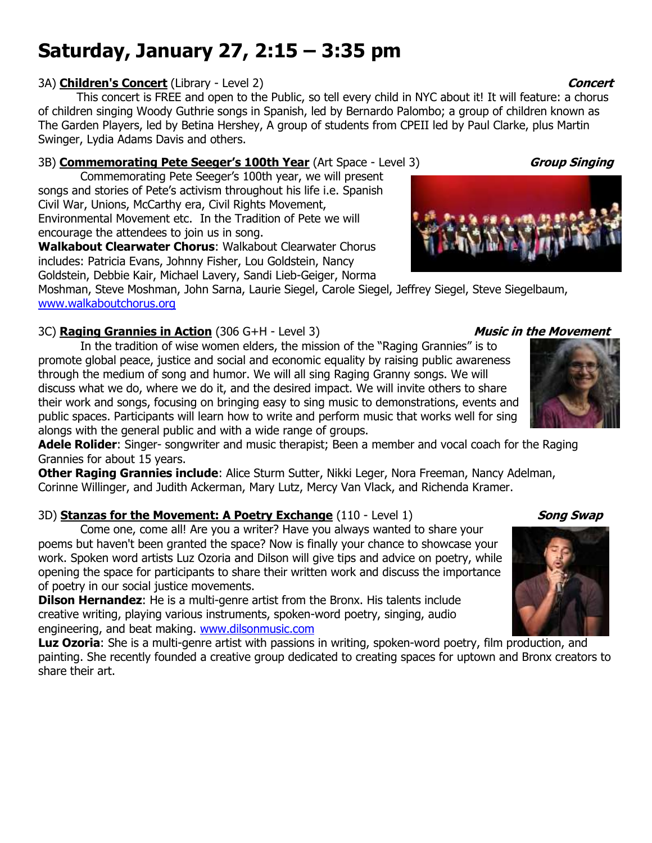## **Saturday, January 27, 2:15 – 3:35 pm**

#### 3A) **Children's Concert** (Library - Level 2) **Concert Concert Concert**

This concert is FREE and open to the Public, so tell every child in NYC about it! It will feature: a chorus of children singing Woody Guthrie songs in Spanish, led by Bernardo Palombo; a group of children known as The Garden Players, led by Betina Hershey, A group of students from CPEII led by Paul Clarke, plus Martin Swinger, Lydia Adams Davis and others.

#### 3B) **Commemorating Pete Seeger's 100th Year** (Art Space - Level 3) **Group Singing**

Commemorating Pete Seeger's 100th year, we will present songs and stories of Pete's activism throughout his life i.e. Spanish Civil War, Unions, McCarthy era, Civil Rights Movement, Environmental Movement etc. In the Tradition of Pete we will encourage the attendees to join us in song.

**Walkabout Clearwater Chorus**: Walkabout Clearwater Chorus includes: Patricia Evans, Johnny Fisher, Lou Goldstein, Nancy Goldstein, Debbie Kair, Michael Lavery, Sandi Lieb-Geiger, Norma

Moshman, Steve Moshman, John Sarna, Laurie Siegel, Carole Siegel, Jeffrey Siegel, Steve Siegelbaum, [www.walkaboutchorus.org](http://www.walkaboutchorus.org/)

### 3C) **Raging Grannies in Action** (306 G+H - Level 3) **Music in the Movement**

In the tradition of wise women elders, the mission of the "Raging Grannies" is to promote global peace, justice and social and economic equality by raising public awareness through the medium of song and humor. We will all sing Raging Granny songs. We will discuss what we do, where we do it, and the desired impact. We will invite others to share their work and songs, focusing on bringing easy to sing music to demonstrations, events and public spaces. Participants will learn how to write and perform music that works well for sing alongs with the general public and with a wide range of groups.

**Adele Rolider**: Singer- songwriter and music therapist; Been a member and vocal coach for the Raging Grannies for about 15 years.

**Other Raging Grannies include**: Alice Sturm Sutter, Nikki Leger, Nora Freeman, Nancy Adelman, Corinne Willinger, and Judith Ackerman, Mary Lutz, Mercy Van Vlack, and Richenda Kramer.

### 3D) **Stanzas for the Movement: A Poetry Exchange** (110 - Level 1) **Song Swap**

Come one, come all! Are you a writer? Have you always wanted to share your poems but haven't been granted the space? Now is finally your chance to showcase your work. Spoken word artists Luz Ozoria and Dilson will give tips and advice on poetry, while opening the space for participants to share their written work and discuss the importance of poetry in our social justice movements.

**Dilson Hernandez**: He is a multi-genre artist from the Bronx. His talents include creative writing, playing various instruments, spoken-word poetry, singing, audio engineering, and beat making. [www.dilsonmusic.com](http://www.dilsonmusic.com/)

**Luz Ozoria**: She is a multi-genre artist with passions in writing, spoken-word poetry, film production, and painting. She recently founded a creative group dedicated to creating spaces for uptown and Bronx creators to share their art.





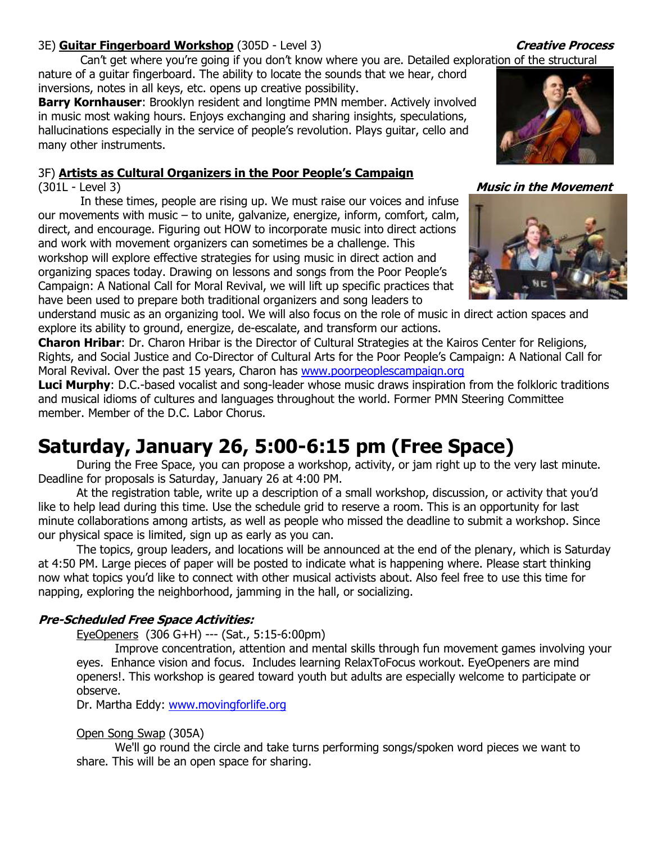#### 3E) **Guitar Fingerboard Workshop** (305D - Level 3) **Creative Process**

Can't get where you're going if you don't know where you are. Detailed exploration of the structural

nature of a guitar fingerboard. The ability to locate the sounds that we hear, chord inversions, notes in all keys, etc. opens up creative possibility.

**Barry Kornhauser**: Brooklyn resident and longtime PMN member. Actively involved in music most waking hours. Enjoys exchanging and sharing insights, speculations, hallucinations especially in the service of people's revolution. Plays guitar, cello and many other instruments.

### 3F) **Artists as Cultural Organizers in the Poor People's Campaign**

In these times, people are rising up. We must raise our voices and infuse our movements with music – to unite, galvanize, energize, inform, comfort, calm, direct, and encourage. Figuring out HOW to incorporate music into direct actions and work with movement organizers can sometimes be a challenge. This workshop will explore effective strategies for using music in direct action and organizing spaces today. Drawing on lessons and songs from the Poor People's Campaign: A National Call for Moral Revival, we will lift up specific practices that have been used to prepare both traditional organizers and song leaders to

understand music as an organizing tool. We will also focus on the role of music in direct action spaces and explore its ability to ground, energize, de-escalate, and transform our actions.

**Charon Hribar**: Dr. Charon Hribar is the Director of Cultural Strategies at the Kairos Center for Religions, Rights, and Social Justice and Co-Director of Cultural Arts for the Poor People's Campaign: A National Call for Moral Revival. Over the past 15 years, Charon has [www.poorpeoplescampaign.org](http://www.poorpeoplescampaign.org/)

**Luci Murphy**: D.C.-based vocalist and song-leader whose music draws inspiration from the folkloric traditions and musical idioms of cultures and languages throughout the world. Former PMN Steering Committee member. Member of the D.C. Labor Chorus.

## **Saturday, January 26, 5:00-6:15 pm (Free Space)**

During the Free Space, you can propose a workshop, activity, or jam right up to the very last minute. Deadline for proposals is Saturday, January 26 at 4:00 PM.

At the registration table, write up a description of a small workshop, discussion, or activity that you'd like to help lead during this time. Use the schedule grid to reserve a room. This is an opportunity for last minute collaborations among artists, as well as people who missed the deadline to submit a workshop. Since our physical space is limited, sign up as early as you can.

The topics, group leaders, and locations will be announced at the end of the plenary, which is Saturday at 4:50 PM. Large pieces of paper will be posted to indicate what is happening where. Please start thinking now what topics you'd like to connect with other musical activists about. Also feel free to use this time for napping, exploring the neighborhood, jamming in the hall, or socializing.

### **Pre-Scheduled Free Space Activities:**

EyeOpeners (306 G+H) --- (Sat., 5:15-6:00pm)

Improve concentration, attention and mental skills through fun movement games involving your eyes. Enhance vision and focus. Includes learning RelaxToFocus workout. EyeOpeners are mind openers!. This workshop is geared toward youth but adults are especially welcome to participate or observe.

Dr. Martha Eddy: [www.movingforlife.org](http://www.movingforlife.org/)

#### Open Song Swap (305A)

We'll go round the circle and take turns performing songs/spoken word pieces we want to share. This will be an open space for sharing.

(301L - Level 3) **Music in the Movement**

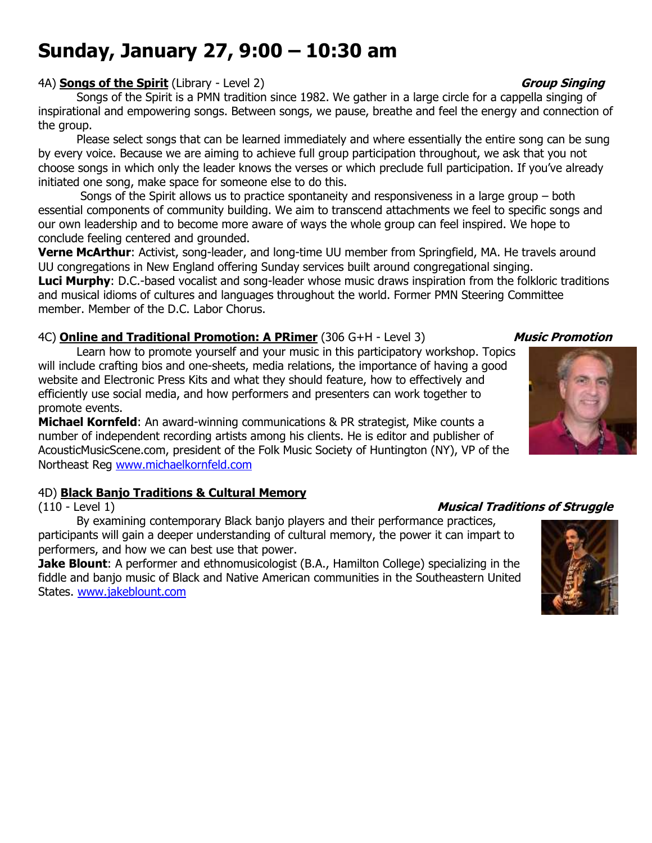## **Sunday, January 27, 9:00 – 10:30 am**

#### 4A) **Songs of the Spirit** (Library - Level 2) **Group Singing**

Songs of the Spirit is a PMN tradition since 1982. We gather in a large circle for a cappella singing of inspirational and empowering songs. Between songs, we pause, breathe and feel the energy and connection of the group.

Please select songs that can be learned immediately and where essentially the entire song can be sung by every voice. Because we are aiming to achieve full group participation throughout, we ask that you not choose songs in which only the leader knows the verses or which preclude full participation. If you've already initiated one song, make space for someone else to do this.

Songs of the Spirit allows us to practice spontaneity and responsiveness in a large group – both essential components of community building. We aim to transcend attachments we feel to specific songs and our own leadership and to become more aware of ways the whole group can feel inspired. We hope to conclude feeling centered and grounded.

**Verne McArthur**: Activist, song-leader, and long-time UU member from Springfield, MA. He travels around UU congregations in New England offering Sunday services built around congregational singing.

**Luci Murphy**: D.C.-based vocalist and song-leader whose music draws inspiration from the folkloric traditions and musical idioms of cultures and languages throughout the world. Former PMN Steering Committee member. Member of the D.C. Labor Chorus.

### 4C) **Online and Traditional Promotion: A PRimer** (306 G+H - Level 3) **Music Promotion**

Learn how to promote yourself and your music in this participatory workshop. Topics will include crafting bios and one-sheets, media relations, the importance of having a good website and Electronic Press Kits and what they should feature, how to effectively and efficiently use social media, and how performers and presenters can work together to promote events.

**Michael Kornfeld**: An award-winning communications & PR strategist, Mike counts a number of independent recording artists among his clients. He is editor and publisher of AcousticMusicScene.com, president of the Folk Music Society of Huntington (NY), VP of the Northeast Reg [www.michaelkornfeld.com](http://www.michaelkornfeld.com/)

### 4D) **Black Banjo Traditions & Cultural Memory**

By examining contemporary Black banjo players and their performance practices, participants will gain a deeper understanding of cultural memory, the power it can impart to performers, and how we can best use that power.

**Jake Blount**: A performer and ethnomusicologist (B.A., Hamilton College) specializing in the fiddle and banjo music of Black and Native American communities in the Southeastern United States. [www.jakeblount.com](http://www.jakeblount.com/)

### (110 - Level 1) **Musical Traditions of Struggle**



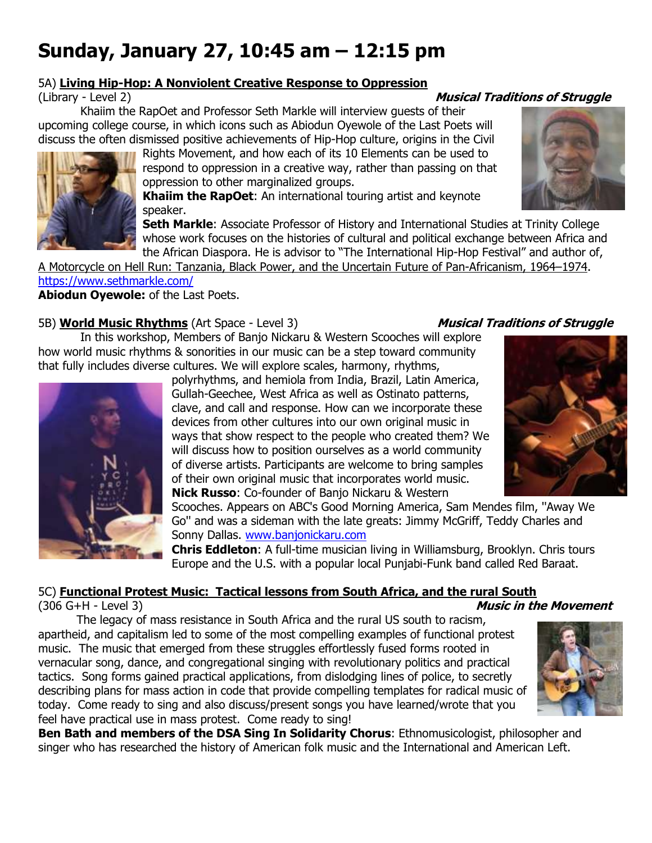## **Sunday, January 27, 10:45 am – 12:15 pm**

### 5A) **Living Hip-Hop: A Nonviolent Creative Response to Oppression**

#### (Library - Level 2) **Musical Traditions of Struggle**

Khaiim the RapOet and Professor Seth Markle will interview guests of their upcoming college course, in which icons such as Abiodun Oyewole of the Last Poets will discuss the often dismissed positive achievements of Hip-Hop culture, origins in the Civil

Rights Movement, and how each of its 10 Elements can be used to respond to oppression in a creative way, rather than passing on that oppression to other marginalized groups.

**Khaiim the RapOet**: An international touring artist and keynote speaker.

**Seth Markle:** Associate Professor of History and International Studies at Trinity College whose work focuses on the histories of cultural and political exchange between Africa and the African Diaspora. He is advisor to "The International Hip-Hop Festival" and author of,

A Motorcycle on Hell Run: Tanzania, Black Power, and the Uncertain Future of Pan-Africanism, 1964–1974. <https://www.sethmarkle.com/>

**Abiodun Oyewole:** of the Last Poets.

### 5B) **World Music Rhythms** (Art Space - Level 3) **Musical Traditions of Struggle**

In this workshop, Members of Banjo Nickaru & Western Scooches will explore how world music rhythms & sonorities in our music can be a step toward community that fully includes diverse cultures. We will explore scales, harmony, rhythms,



polyrhythms, and hemiola from India, Brazil, Latin America, Gullah-Geechee, West Africa as well as Ostinato patterns, clave, and call and response. How can we incorporate these devices from other cultures into our own original music in ways that show respect to the people who created them? We will discuss how to position ourselves as a world community of diverse artists. Participants are welcome to bring samples of their own original music that incorporates world music. **Nick Russo**: Co-founder of Banjo Nickaru & Western

Scooches. Appears on ABC's Good Morning America, Sam Mendes film, ''Away We Go'' and was a sideman with the late greats: Jimmy McGriff, Teddy Charles and Sonny Dallas. [www.banjonickaru.com](http://www.banjonickaru.com/)

**Chris Eddleton**: A full-time musician living in Williamsburg, Brooklyn. Chris tours Europe and the U.S. with a popular local Punjabi-Funk band called Red Baraat.

### 5C) **Functional Protest Music: Tactical lessons from South Africa, and the rural South**

(306 G+H - Level 3) **Music in the Movement**

The legacy of mass resistance in South Africa and the rural US south to racism, apartheid, and capitalism led to some of the most compelling examples of functional protest music. The music that emerged from these struggles effortlessly fused forms rooted in vernacular song, dance, and congregational singing with revolutionary politics and practical tactics. Song forms gained practical applications, from dislodging lines of police, to secretly describing plans for mass action in code that provide compelling templates for radical music of today. Come ready to sing and also discuss/present songs you have learned/wrote that you feel have practical use in mass protest. Come ready to sing!



**Ben Bath and members of the DSA Sing In Solidarity Chorus**: Ethnomusicologist, philosopher and singer who has researched the history of American folk music and the International and American Left.